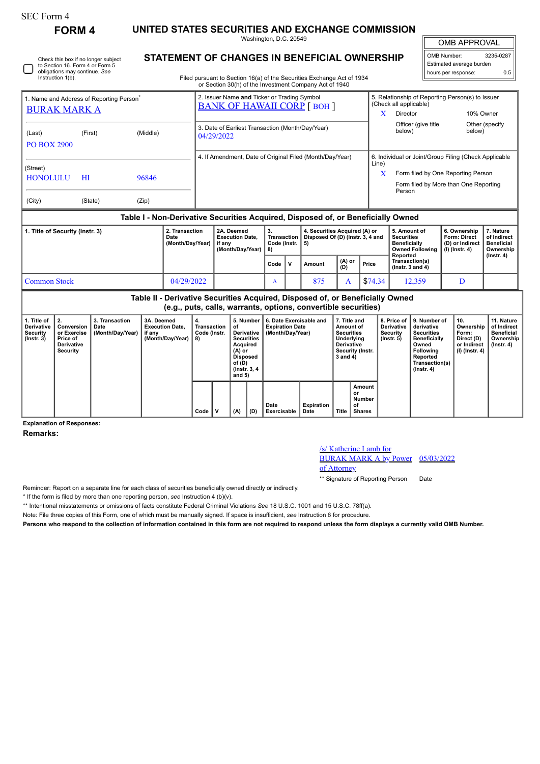## SEC Form 4

Instruction 1(b).

Check this box if no longer subject to Section 16. Form 4 or Form 5 obligations may continue. *See*

**FORM 4 UNITED STATES SECURITIES AND EXCHANGE COMMISSION**

Washington, D.C. 20549

OMB APPROVAL

 $\mathbb{I}$ 

| OMB Number:              | 3235-0287 |  |  |  |  |  |  |  |
|--------------------------|-----------|--|--|--|--|--|--|--|
| Estimated average burden |           |  |  |  |  |  |  |  |
| hours per response:      | 0.5       |  |  |  |  |  |  |  |

**STATEMENT OF CHANGES IN BENEFICIAL OWNERSHIP**

Filed pursuant to Section 16(a) of the Securities Exchange Act of 1934 or Section 30(h) of the Investment Company Act of 1940

| 1. Name and Address of Reporting Person <sup>®</sup><br><b>BURAK MARK A</b>      |         |          |                                                 | 2. Issuer Name and Ticker or Trading Symbol<br><b>BANK OF HAWAII CORP [BOH]</b> |                                      |                                                                   | 5. Relationship of Reporting Person(s) to Issuer<br>(Check all applicable) |                                                                             |                                                                                  |                                              |  |  |
|----------------------------------------------------------------------------------|---------|----------|-------------------------------------------------|---------------------------------------------------------------------------------|--------------------------------------|-------------------------------------------------------------------|----------------------------------------------------------------------------|-----------------------------------------------------------------------------|----------------------------------------------------------------------------------|----------------------------------------------|--|--|
|                                                                                  |         |          |                                                 |                                                                                 |                                      |                                                                   | x                                                                          | Director                                                                    |                                                                                  | 10% Owner                                    |  |  |
| (Last)<br><b>PO BOX 2900</b>                                                     | (First) | (Middle) |                                                 | 3. Date of Earliest Transaction (Month/Day/Year)<br>04/29/2022                  |                                      |                                                                   |                                                                            | Officer (give title<br>below)                                               | below)                                                                           | Other (specify)                              |  |  |
|                                                                                  |         |          |                                                 |                                                                                 |                                      | 4. If Amendment, Date of Original Filed (Month/Day/Year)          | 6. Individual or Joint/Group Filing (Check Applicable                      |                                                                             |                                                                                  |                                              |  |  |
| (Street)<br><b>HONOLULU</b>                                                      | HI      | 96846    |                                                 |                                                                                 |                                      |                                                                   | Line)<br>X                                                                 | Form filed by One Reporting Person<br>Form filed by More than One Reporting |                                                                                  |                                              |  |  |
| (City)                                                                           | (State) | (Zip)    |                                                 |                                                                                 |                                      |                                                                   |                                                                            | Person                                                                      |                                                                                  |                                              |  |  |
| Table I - Non-Derivative Securities Acquired, Disposed of, or Beneficially Owned |         |          |                                                 |                                                                                 |                                      |                                                                   |                                                                            |                                                                             |                                                                                  |                                              |  |  |
| 1. Title of Security (Instr. 3)<br>Date                                          |         |          | 2. Transaction<br>$(M - m + h / m - h / m - h)$ | 2A. Deemed<br><b>Execution Date.</b><br>$\mathbf{f}$ and $\mathbf{f}$           | 3.<br>Transaction<br>$0 - 4 - 1 - 1$ | 4. Securities Acquired (A) or<br>Disposed Of (D) (Instr. 3, 4 and |                                                                            | 5. Amount of<br><b>Securities</b><br>Depatheleller                          | 6. Ownership<br><b>Form: Direct</b><br>$(5)$ and $\lambda$ is a set of $\lambda$ | 7. Nature<br>of Indirect<br><b>Departure</b> |  |  |

|                     | <u>saw</u><br>EAGOGUOTI PULO.<br>(Month/Dav/Year)<br>if anv<br>(Month/Dav/Year) |  | Code (Instr. 15)<br>l 8) |              | 1.41   |               |         | ----------<br><b>Beneficially</b><br>Owned Following   (I) (Instr. 4)<br>Reported | ∣ (D) or Indirect | vi ilimi vvl<br><b>Beneficial</b><br>Ownership<br>$($ lnstr. 4 $)$ |  |
|---------------------|---------------------------------------------------------------------------------|--|--------------------------|--------------|--------|---------------|---------|-----------------------------------------------------------------------------------|-------------------|--------------------------------------------------------------------|--|
|                     |                                                                                 |  | Code                     | $\mathbf{v}$ | Amount | (A) or<br>(D) | Price   | Transaction(s)<br>( $lnstr.$ 3 and 4)                                             |                   |                                                                    |  |
| <b>Common Stock</b> | 04/29/2022                                                                      |  |                          |              | 875    |               | \$74.34 | 12.359                                                                            |                   |                                                                    |  |

**Table II - Derivative Securities Acquired, Disposed of, or Beneficially Owned (e.g., puts, calls, warrants, options, convertible securities)**

| 1. Title of<br>Derivative<br>Security<br>$($ lnstr. 3 $)$ | $\vert$ 2.<br>Conversion<br>or Exercise<br>Price of<br>Derivative<br>Security | 3. Transaction<br>Date<br>(Month/Day/Year) | 3A. Deemed<br><b>Execution Date,</b><br>if any<br>(Month/Day/Year) | 4.<br>Transaction<br>Code (Instr.<br>8) |   | 5. Number<br>of<br>Derivative<br><b>Securities</b><br>Acquired<br>(A) or<br>Disposed<br>of (D)<br>(Instr. 3, 4<br>and $5)$<br>(A)<br>(D) |  | 6. Date Exercisable and<br><b>Expiration Date</b><br>(Month/Dav/Year) | 7. Title and<br>Amount of<br><b>Securities</b><br>Underlying<br><b>Derivative</b><br>Security (Instr.<br>3 and 4) |       | Derivative<br>Security<br>$($ lnstr. 5 $)$    | 8. Price of 19. Number of<br>derivative<br><b>Securities</b><br><b>Beneficially</b><br>Owned<br><b>Following</b><br>Reported<br>Transaction(s)<br>$($ lnstr. 4 $)$ | 10.<br>Ownership<br>Form:<br>Direct (D)<br>or Indirect<br>  (I) (Instr. 4) | 11. Nature<br>of Indirect<br><b>Beneficial</b><br>Ownership<br>$($ lnstr. 4 $)$ |
|-----------------------------------------------------------|-------------------------------------------------------------------------------|--------------------------------------------|--------------------------------------------------------------------|-----------------------------------------|---|------------------------------------------------------------------------------------------------------------------------------------------|--|-----------------------------------------------------------------------|-------------------------------------------------------------------------------------------------------------------|-------|-----------------------------------------------|--------------------------------------------------------------------------------------------------------------------------------------------------------------------|----------------------------------------------------------------------------|---------------------------------------------------------------------------------|
|                                                           |                                                                               |                                            |                                                                    | Code                                    | ν |                                                                                                                                          |  | Date<br>Exercisable                                                   | Expiration<br>Date                                                                                                | Title | Amount<br>or<br>Number<br>of<br><b>Shares</b> |                                                                                                                                                                    |                                                                            |                                                                                 |

**Explanation of Responses:**

**Remarks:**

## /s/ Katherine Lamb for

BURAK MARK A by Power 05/03/2022

of Attorney

\*\* Signature of Reporting Person Date

Reminder: Report on a separate line for each class of securities beneficially owned directly or indirectly.

\* If the form is filed by more than one reporting person, *see* Instruction 4 (b)(v).

\*\* Intentional misstatements or omissions of facts constitute Federal Criminal Violations *See* 18 U.S.C. 1001 and 15 U.S.C. 78ff(a).

Note: File three copies of this Form, one of which must be manually signed. If space is insufficient, *see* Instruction 6 for procedure.

**Persons who respond to the collection of information contained in this form are not required to respond unless the form displays a currently valid OMB Number.**